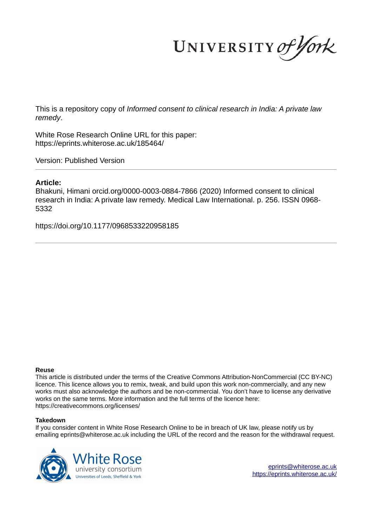UNIVERSITY of York

This is a repository copy of *Informed consent to clinical research in India: A private law remedy*.

White Rose Research Online URL for this paper: https://eprints.whiterose.ac.uk/185464/

Version: Published Version

## **Article:**

Bhakuni, Himani orcid.org/0000-0003-0884-7866 (2020) Informed consent to clinical research in India: A private law remedy. Medical Law International. p. 256. ISSN 0968- 5332

https://doi.org/10.1177/0968533220958185

#### **Reuse**

This article is distributed under the terms of the Creative Commons Attribution-NonCommercial (CC BY-NC) licence. This licence allows you to remix, tweak, and build upon this work non-commercially, and any new works must also acknowledge the authors and be non-commercial. You don't have to license any derivative works on the same terms. More information and the full terms of the licence here: https://creativecommons.org/licenses/

### **Takedown**

If you consider content in White Rose Research Online to be in breach of UK law, please notify us by emailing eprints@whiterose.ac.uk including the URL of the record and the reason for the withdrawal request.



eprints@whiterose.ac.uk https://eprints.whiterose.ac.uk/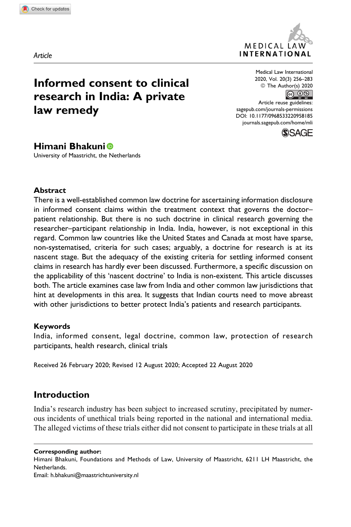*Article*





Medical Law International 2020, Vol. 20(3) 256–283 © The Author(s) 2020



Article reuse guidelines: sagepub.com/journals-permissions DOI: 10.1177/0968533220958185 journals.sagepub.com/home/mli



## **Himani Bhakuni**

University of Maastricht, the Netherlands

#### **Abstract**

There is a well-established common law doctrine for ascertaining information disclosure in informed consent claims within the treatment context that governs the doctor– patient relationship. But there is no such doctrine in clinical research governing the researcher–participant relationship in India. India, however, is not exceptional in this regard. Common law countries like the United States and Canada at most have sparse, non-systematised, criteria for such cases; arguably, a doctrine for research is at its nascent stage. But the adequacy of the existing criteria for settling informed consent claims in research has hardly ever been discussed. Furthermore, a specific discussion on the applicability of this 'nascent doctrine' to India is non-existent. This article discusses both. The article examines case law from India and other common law jurisdictions that hint at developments in this area. It suggests that Indian courts need to move abreast with other jurisdictions to better protect India's patients and research participants.

#### **Keywords**

India, informed consent, legal doctrine, common law, protection of research participants, health research, clinical trials

Received 26 February 2020; Revised 12 August 2020; Accepted 22 August 2020

## **Introduction**

India's research industry has been subject to increased scrutiny, precipitated by numerous incidents of unethical trials being reported in the national and international media. The alleged victims of these trials either did not consent to participate in these trials at all

**Corresponding author:**

Himani Bhakuni, Foundations and Methods of Law, University of Maastricht, 6211 LH Maastricht, the Netherlands.

Email: h.bhakuni@maastrichtuniversity.nl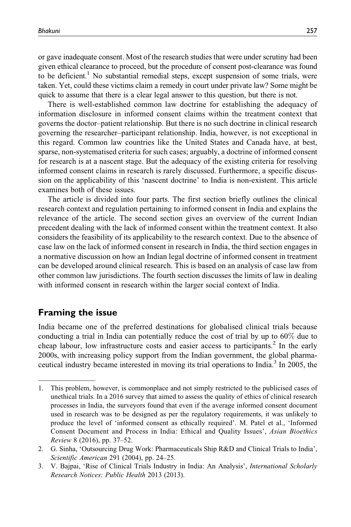or gave inadequate consent. Most of the research studies that were under scrutiny had been given ethical clearance to proceed, but the procedure of consent post-clearance was found to be deficient.<sup>1</sup> No substantial remedial steps, except suspension of some trials, were taken. Yet, could these victims claim a remedy in court under private law? Some might be quick to assume that there is a clear legal answer to this question, but there is not.

There is well-established common law doctrine for establishing the adequacy of information disclosure in informed consent claims within the treatment context that governs the doctor–patient relationship. But there is no such doctrine in clinical research governing the researcher–participant relationship. India, however, is not exceptional in this regard. Common law countries like the United States and Canada have, at best, sparse, non-systematised criteria for such cases; arguably, a doctrine of informed consent for research is at a nascent stage. But the adequacy of the existing criteria for resolving informed consent claims in research is rarely discussed. Furthermore, a specific discussion on the applicability of this 'nascent doctrine' to India is non-existent. This article examines both of these issues.

The article is divided into four parts. The first section briefly outlines the clinical research context and regulation pertaining to informed consent in India and explains the relevance of the article. The second section gives an overview of the current Indian precedent dealing with the lack of informed consent within the treatment context. It also considers the feasibility of its applicability to the research context. Due to the absence of case law on the lack of informed consent in research in India, the third section engages in a normative discussion on how an Indian legal doctrine of informed consent in treatment can be developed around clinical research. This is based on an analysis of case law from other common law jurisdictions. The fourth section discusses the limits of law in dealing with informed consent in research within the larger social context of India.

## **Framing the issue**

India became one of the preferred destinations for globalised clinical trials because conducting a trial in India can potentially reduce the cost of trial by up to 60% due to cheap labour, low infrastructure costs and easier access to participants.<sup>2</sup> In the early 2000s, with increasing policy support from the Indian government, the global pharmaceutical industry became interested in moving its trial operations to India.<sup>3</sup> In 2005, the

<sup>1.</sup> This problem, however, is commonplace and not simply restricted to the publicised cases of unethical trials. In a 2016 survey that aimed to assess the quality of ethics of clinical research processes in India, the surveyors found that even if the average informed consent document used in research was to be designed as per the regulatory requirements, it was unlikely to produce the level of 'informed consent as ethically required'. M. Patel et al., 'Informed Consent Document and Process in India: Ethical and Quality Issues', *Asian Bioethics Review* 8 (2016), pp. 37–52.

<sup>2.</sup> G. Sinha, 'Outsourcing Drug Work: Pharmaceuticals Ship R&D and Clinical Trials to India', *Scientific American* 291 (2004), pp. 24–25.

<sup>3.</sup> V. Bajpai, 'Rise of Clinical Trials Industry in India: An Analysis', *International Scholarly Research Notices: Public Health* 2013 (2013).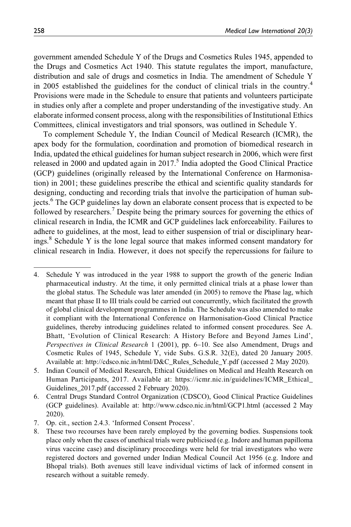government amended Schedule Y of the Drugs and Cosmetics Rules 1945, appended to the Drugs and Cosmetics Act 1940. This statute regulates the import, manufacture, distribution and sale of drugs and cosmetics in India. The amendment of Schedule Y in 2005 established the guidelines for the conduct of clinical trials in the country.<sup>4</sup> Provisions were made in the Schedule to ensure that patients and volunteers participate in studies only after a complete and proper understanding of the investigative study. An elaborate informed consent process, along with the responsibilities of Institutional Ethics Committees, clinical investigators and trial sponsors, was outlined in Schedule Y.

To complement Schedule Y, the Indian Council of Medical Research (ICMR), the apex body for the formulation, coordination and promotion of biomedical research in India, updated the ethical guidelines for human subject research in 2006, which were first released in 2000 and updated again in 2017.<sup>5</sup> India adopted the Good Clinical Practice (GCP) guidelines (originally released by the International Conference on Harmonisation) in 2001; these guidelines prescribe the ethical and scientific quality standards for designing, conducting and recording trials that involve the participation of human subjects.<sup>6</sup> The GCP guidelines lay down an elaborate consent process that is expected to be followed by researchers.<sup>7</sup> Despite being the primary sources for governing the ethics of clinical research in India, the ICMR and GCP guidelines lack enforceability. Failures to adhere to guidelines, at the most, lead to either suspension of trial or disciplinary hearings.<sup>8</sup> Schedule Y is the lone legal source that makes informed consent mandatory for clinical research in India. However, it does not specify the repercussions for failure to

<sup>4.</sup> Schedule Y was introduced in the year 1988 to support the growth of the generic Indian pharmaceutical industry. At the time, it only permitted clinical trials at a phase lower than the global status. The Schedule was later amended (in 2005) to remove the Phase lag, which meant that phase II to III trials could be carried out concurrently, which facilitated the growth of global clinical development programmes in India. The Schedule was also amended to make it compliant with the International Conference on Harmonisation-Good Clinical Practice guidelines, thereby introducing guidelines related to informed consent procedures. See A. Bhatt, 'Evolution of Clinical Research: A History Before and Beyond James Lind', *Perspectives in Clinical Research* 1 (2001), pp. 6–10. See also Amendment, Drugs and Cosmetic Rules of 1945, Schedule Y, vide Subs. G.S.R. 32(E), dated 20 January 2005. Available at: http://cdsco.nic.in/html/D&C\_Rules\_Schedule\_Y.pdf (accessed 2 May 2020).

<sup>5.</sup> Indian Council of Medical Research, Ethical Guidelines on Medical and Health Research on Human Participants, 2017. Available at: https://icmr.nic.in/guidelines/ICMR\_Ethical\_ Guidelines\_2017.pdf (accessed 2 February 2020).

<sup>6.</sup> Central Drugs Standard Control Organization (CDSCO), Good Clinical Practice Guidelines (GCP guidelines). Available at: http://www.cdsco.nic.in/html/GCP1.html (accessed 2 May 2020).

<sup>7.</sup> Op. cit., section 2.4.3. 'Informed Consent Process'.

<sup>8.</sup> These two recourses have been rarely employed by the governing bodies. Suspensions took place only when the cases of unethical trials were publicised (e.g. Indore and human papilloma virus vaccine case) and disciplinary proceedings were held for trial investigators who were registered doctors and governed under Indian Medical Council Act 1956 (e.g. Indore and Bhopal trials). Both avenues still leave individual victims of lack of informed consent in research without a suitable remedy.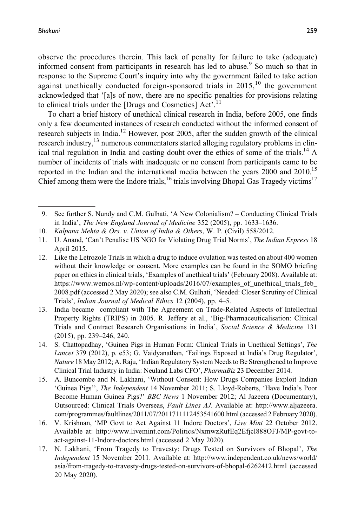observe the procedures therein. This lack of penalty for failure to take (adequate) informed consent from participants in research has led to abuse.<sup>9</sup> So much so that in response to the Supreme Court's inquiry into why the government failed to take action against unethically conducted foreign-sponsored trials in  $2015<sup>10</sup>$  the government acknowledged that '[a]s of now, there are no specific penalties for provisions relating to clinical trials under the [Drugs and Cosmetics] Act'.<sup>11</sup>

To chart a brief history of unethical clinical research in India, before 2005, one finds only a few documented instances of research conducted without the informed consent of research subjects in India.<sup>12</sup> However, post 2005, after the sudden growth of the clinical research industry,<sup>13</sup> numerous commentators started alleging regulatory problems in clinical trial regulation in India and casting doubt over the ethics of some of the trials.<sup>14</sup> A number of incidents of trials with inadequate or no consent from participants came to be reported in the Indian and the international media between the years 2000 and 2010.<sup>15</sup> Chief among them were the Indore trials,<sup>16</sup> trials involving Bhopal Gas Tragedy victims<sup>17</sup>

17. N. Lakhani, 'From Tragedy to Travesty: Drugs Tested on Survivors of Bhopal', *The Independent* 15 November 2011. Available at: http://www.independent.co.uk/news/world/ asia/from-tragedy-to-travesty-drugs-tested-on-survivors-of-bhopal-6262412.html (accessed 20 May 2020).

<sup>9.</sup> See further S. Nundy and C.M. Gulhati, 'A New Colonialism? – Conducting Clinical Trials in India', *The New England Journal of Medicine* 352 (2005), pp. 1633–1636.

<sup>10.</sup> *Kalpana Mehta & Ors. v. Union of India & Others*, W. P. (Civil) 558/2012.

<sup>11.</sup> U. Anand, 'Can't Penalise US NGO for Violating Drug Trial Norms', *The Indian Express* 18 April 2015.

<sup>12.</sup> Like the Letrozole Trials in which a drug to induce ovulation was tested on about 400 women without their knowledge or consent. More examples can be found in the SOMO briefing paper on ethics in clinical trials, 'Examples of unethical trials' (February 2008). Available at: https://www.wemos.nl/wp-content/uploads/2016/07/examples\_of\_unethical\_trials\_feb\_ 2008.pdf (accessed 2 May 2020); see also C.M. Gulhati, 'Needed: Closer Scrutiny of Clinical Trials', *Indian Journal of Medical Ethics* 12 (2004), pp. 4–5.

<sup>13.</sup> India became compliant with The Agreement on Trade-Related Aspects of Intellectual Property Rights (TRIPS) in 2005. R. Jeffery et al., 'Big-Pharmaceuticalisation: Clinical Trials and Contract Research Organisations in India', *Social Science & Medicine* 131 (2015), pp. 239–246, 240.

<sup>14.</sup> S. Chattopadhay, 'Guinea Pigs in Human Form: Clinical Trials in Unethical Settings', *The Lancet* 379 (2012), p. e53; G. Vaidyanathan, 'Failings Exposed at India's Drug Regulator', *Nature* 18 May 2012; A. Raju, 'Indian Regulatory System Needs to Be Strengthened to Improve Clinical Trial Industry in India: Neuland Labs CFO', *PharmaBiz* 23 December 2014.

<sup>15.</sup> A. Buncombe and N. Lakhani, 'Without Consent: How Drugs Companies Exploit Indian 'Guinea Pigs'', *The Independent* 14 November 2011; S. Lloyd-Roberts, 'Have India's Poor Become Human Guinea Pigs?' *BBC News* 1 November 2012; Al Jazeera (Documentary), Outsourced: Clinical Trials Overseas, *Fault Lines AJ*. Available at: http://www.aljazeera. com/programmes/faultlines/2011/07/2011711112453541600.html (accessed 2 February 2020).

<sup>16.</sup> V. Krishnan, 'MP Govt to Act Against 11 Indore Doctors', *Live Mint* 22 October 2012. Available at: http://www.livemint.com/Politics/NxmwzRufEq2Efjcl888OFJ/MP-govt-toact-against-11-Indore-doctors.html (accessed 2 May 2020).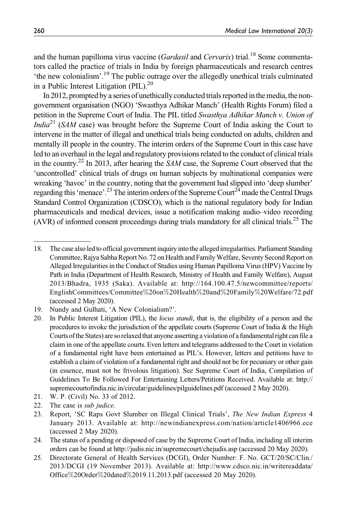and the human papilloma virus vaccine (*Gardasil* and *Cervarix*) trial.<sup>18</sup> Some commentators called the practice of trials in India by foreign pharmaceuticals and research centres 'the new colonialism'.<sup>19</sup> The public outrage over the allegedly unethical trials culminated in a Public Interest Litigation (PIL).<sup>20</sup>

In 2012, prompted by a series of unethically conducted trials reported in the media, the nongovernment organisation (NGO) 'Swasthya Adhikar Manch' (Health Rights Forum) filed a petition in the Supreme Court of India. The PIL titled *Swasthya Adhikar Manch v. Union of India*<sup>21</sup> (*SAM* case) was brought before the Supreme Court of India asking the Court to intervene in the matter of illegal and unethical trials being conducted on adults, children and mentally ill people in the country. The interim orders of the Supreme Court in this case have led to an overhaul in the legal and regulatory provisions related to the conduct of clinical trials in the country.<sup>22</sup> In 2013, after hearing the *SAM* case, the Supreme Court observed that the 'uncontrolled' clinical trials of drugs on human subjects by multinational companies were wreaking 'havoc' in the country, noting that the government had slipped into 'deep slumber' regarding this 'menace'.<sup>23</sup> The interim orders of the Supreme Court<sup>24</sup> made the Central Drugs Standard Control Organization (CDSCO), which is the national regulatory body for Indian pharmaceuticals and medical devices, issue a notification making audio–video recording (AVR) of informed consent proceedings during trials mandatory for all clinical trials.<sup>25</sup> The

- 21. W. P. (Civil) No. 33 of 2012.
- 22. The case is *sub judice*.
- 23. Report, 'SC Raps Govt Slumber on Illegal Clinical Trials', *The New Indian Express* 4 January 2013. Available at: http://newindianexpress.com/nation/article1406966.ece (accessed 2 May 2020).
- 24. The status of a pending or disposed of case by the Supreme Court of India, including all interim orders can be found at http://judis.nic.in/supremecourt/chejudis.asp (accessed 20 May 2020).
- 25. Directorate General of Health Services (DCGI), Order Number: F. No. GCT/20/SC/Clin./ 2013/DCGI (19 November 2013). Available at: http://www.cdsco.nic.in/writereaddata/ Office%20Order%20dated%2019.11.2013.pdf (accessed 20 May 2020).

<sup>18.</sup> The case also led to official government inquiry into the alleged irregularities. Parliament Standing Committee, Rajya Sabha Report No. 72 on Health and FamilyWelfare, Seventy Second Report on Alleged Irregularities in the Conduct of Studies using Human Papilloma Virus (HPV) Vaccine by Path in India (Department of Health Research, Ministry of Health and Family Welfare), August 2013/Bhadra, 1935 (Saka). Available at: http://164.100.47.5/newcommittee/reports/ EnglishCommittees/Committee%20on%20Health%20and%20Family%20Welfare/72.pdf (accessed 2 May 2020).

<sup>19.</sup> Nundy and Gulhati, 'A New Colonialism?'.

<sup>20.</sup> In Public Interest Litigation (PIL), the *locus standi*, that is, the eligibility of a person and the procedures to invoke the jurisdiction of the appellate courts (Supreme Court of India & the High Courts of the States) are so relaxed that anyone asserting a violation of a fundamental right can file a claim in one of the appellate courts. Even letters and telegrams addressed to the Court in violation of a fundamental right have been entertained as PIL's. However, letters and petitions have to establish a claim of violation of a fundamental right and should not be for pecuniary or other gain (in essence, must not be frivolous litigation). See Supreme Court of India, Compilation of Guidelines To Be Followed For Entertaining Letters/Petitions Received. Available at: http:// supremecourtofindia.nic.in/circular/guidelines/pilguidelines.pdf (accessed 2 May 2020).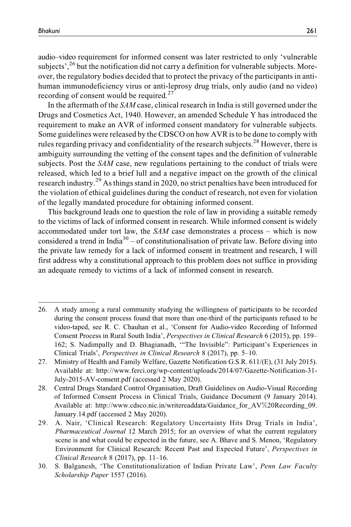audio–video requirement for informed consent was later restricted to only 'vulnerable subjects',<sup>26</sup> but the notification did not carry a definition for vulnerable subjects. Moreover, the regulatory bodies decided that to protect the privacy of the participants in antihuman immunodeficiency virus or anti-leprosy drug trials, only audio (and no video) recording of consent would be required.<sup>27</sup>

In the aftermath of the *SAM* case, clinical research in India is still governed under the Drugs and Cosmetics Act, 1940. However, an amended Schedule Y has introduced the requirement to make an AVR of informed consent mandatory for vulnerable subjects. Some guidelines were released by the CDSCO on how AVR is to be done to comply with rules regarding privacy and confidentiality of the research subjects.<sup>28</sup> However, there is ambiguity surrounding the vetting of the consent tapes and the definition of vulnerable subjects. Post the *SAM* case, new regulations pertaining to the conduct of trials were released, which led to a brief lull and a negative impact on the growth of the clinical research industry.<sup>29</sup> As things stand in 2020, no strict penalties have been introduced for the violation of ethical guidelines during the conduct of research, not even for violation of the legally mandated procedure for obtaining informed consent.

This background leads one to question the role of law in providing a suitable remedy to the victims of lack of informed consent in research. While informed consent is widely accommodated under tort law, the *SAM* case demonstrates a process – which is now considered a trend in India<sup>30</sup> – of constitutionalisation of private law. Before diving into the private law remedy for a lack of informed consent in treatment and research, I will first address why a constitutional approach to this problem does not suffice in providing an adequate remedy to victims of a lack of informed consent in research.

<sup>26.</sup> A study among a rural community studying the willingness of participants to be recorded during the consent process found that more than one-third of the participants refused to be video-taped, see R. C. Chauhan et al., 'Consent for Audio-video Recording of Informed Consent Process in Rural South India', *Perspectives in Clinical Research* 6 (2015), pp. 159– 162; S. Nadimpally and D. Bhagianadh, '"The Invisible": Participant's Experiences in Clinical Trials', *Perspectives in Clinical Research* 8 (2017), pp. 5–10.

<sup>27.</sup> Ministry of Health and Family Welfare, Gazette Notification G.S.R. 611/(E), (31 July 2015). Available at: http://www.ferci.org/wp-content/uploads/2014/07/Gazette-Notification-31- July-2015-AV-consent.pdf (accessed 2 May 2020).

<sup>28.</sup> Central Drugs Standard Control Organisation, Draft Guidelines on Audio-Visual Recording of Informed Consent Process in Clinical Trials, Guidance Document (9 January 2014). Available at: http://www.cdsco.nic.in/writereaddata/Guidance\_for\_AV%20Recording\_09. January.14.pdf (accessed 2 May 2020).

<sup>29.</sup> A. Nair, 'Clinical Research: Regulatory Uncertainty Hits Drug Trials in India', *Pharmaceutical Journal* 12 March 2015; for an overview of what the current regulatory scene is and what could be expected in the future, see A. Bhave and S. Menon, 'Regulatory Environment for Clinical Research: Recent Past and Expected Future', *Perspectives in Clinical Research* 8 (2017), pp. 11–16.

<sup>30.</sup> S. Balganesh, 'The Constitutionalization of Indian Private Law', *Penn Law Faculty Scholarship Paper* 1557 (2016).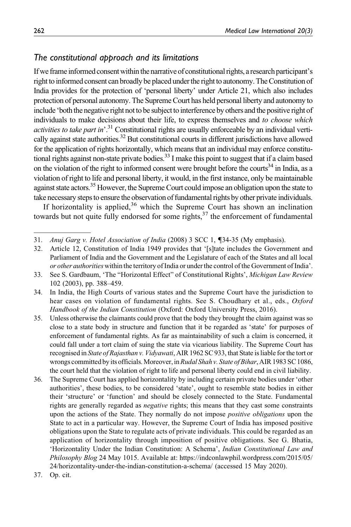#### *The constitutional approach and its limitations*

If we frame informed consent within the narrative of constitutional rights, a research participant's right to informed consent can broadly be placed under the right to autonomy. The Constitution of India provides for the protection of 'personal liberty' under Article 21, which also includes protection of personal autonomy. The Supreme Court has held personal liberty and autonomy to include 'both the negative right not to be subject to interference by others and the positive right of individuals to make decisions about their life, to express themselves and *to choose which activities to take part in*'.<sup>31</sup> Constitutional rights are usually enforceable by an individual vertically against state authorities.<sup>32</sup> But constitutional courts in different jurisdictions have allowed for the application of rights horizontally, which means that an individual may enforce constitutional rights against non-state private bodies.<sup>33</sup> I make this point to suggest that if a claim based on the violation of the right to informed consent were brought before the courts<sup>34</sup> in India, as a violation of right to life and personal liberty, it would, in the first instance, only be maintainable against state actors.<sup>35</sup> However, the Supreme Court could impose an obligation upon the state to take necessary steps to ensure the observation of fundamental rights by other private individuals.

If horizontality is applied,  $36$  which the Supreme Court has shown an inclination towards but not quite fully endorsed for some rights,  $37$  the enforcement of fundamental

- 34. In India, the High Courts of various states and the Supreme Court have the jurisdiction to hear cases on violation of fundamental rights. See S. Choudhary et al., eds., *Oxford Handbook of the Indian Constitution* (Oxford: Oxford University Press, 2016).
- 35. Unless otherwise the claimants could prove that the body they brought the claim against was so close to a state body in structure and function that it be regarded as 'state' for purposes of enforcement of fundamental rights. As far as maintainability of such a claim is concerned, it could fall under a tort claim of suing the state via vicarious liability. The Supreme Court has recognised in *State of Rajasthan v. Vidyawati*, AIR 1962 SC 933, that State is liable for the tort or wrongs committed by its officials.Moreover,in*Rudal Shah v. State of Bihar*, AIR 1983 SC 1086, the court held that the violation of right to life and personal liberty could end in civil liability.
- 36. The Supreme Court has applied horizontality by including certain private bodies under 'other authorities', these bodies, to be considered 'state', ought to resemble state bodies in either their 'structure' or 'function' and should be closely connected to the State. Fundamental rights are generally regarded as *negative* rights; this means that they cast some constraints upon the actions of the State. They normally do not impose *positive obligations* upon the State to act in a particular way. However, the Supreme Court of India has imposed positive obligations upon the State to regulate acts of private individuals. This could be regarded as an application of horizontality through imposition of positive obligations. See G. Bhatia, 'Horizontality Under the Indian Constitution: A Schema', *Indian Constitutional Law and Philosophy Blog* 24 May 1015. Available at: https://indconlawphil.wordpress.com/2015/05/ 24/horizontality-under-the-indian-constitution-a-schema/ (accessed 15 May 2020).
- 37. Op. cit.

<sup>31.</sup> *Anuj Garg v. Hotel Association of India* (2008) 3 SCC 1, 134-35 (My emphasis).

<sup>32.</sup> Article 12, Constitution of India 1949 provides that '[s]tate includes the Government and Parliament of India and the Government and the Legislature of each of the States and all local *or other authorities* within the territory of India or under the control of the Government of India'.

<sup>33.</sup> See S. Gardbaum, 'The "Horizontal Effect" of Constitutional Rights', *Michigan Law Review* 102 (2003), pp. 388–459.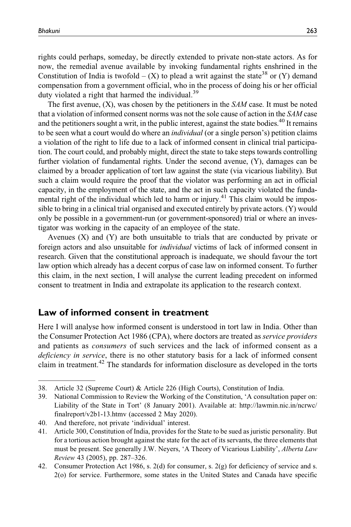rights could perhaps, someday, be directly extended to private non-state actors. As for now, the remedial avenue available by invoking fundamental rights enshrined in the Constitution of India is twofold – (X) to plead a writ against the state<sup>38</sup> or (Y) demand compensation from a government official, who in the process of doing his or her official duty violated a right that harmed the individual.<sup>39</sup>

The first avenue, (X), was chosen by the petitioners in the *SAM* case. It must be noted that a violation of informed consent norms was not the sole cause of action in the *SAM* case and the petitioners sought a writ, in the public interest, against the state bodies.<sup>40</sup> It remains to be seen what a court would do where an *individual* (or a single person's) petition claims a violation of the right to life due to a lack of informed consent in clinical trial participation. The court could, and probably might, direct the state to take steps towards controlling further violation of fundamental rights. Under the second avenue, (Y), damages can be claimed by a broader application of tort law against the state (via vicarious liability). But such a claim would require the proof that the violator was performing an act in official capacity, in the employment of the state, and the act in such capacity violated the fundamental right of the individual which led to harm or injury.<sup>41</sup> This claim would be impossible to bring in a clinical trial organised and executed entirely by private actors. (Y) would only be possible in a government-run (or government-sponsored) trial or where an investigator was working in the capacity of an employee of the state.

Avenues  $(X)$  and  $(Y)$  are both unsuitable to trials that are conducted by private or foreign actors and also unsuitable for *individual* victims of lack of informed consent in research. Given that the constitutional approach is inadequate, we should favour the tort law option which already has a decent corpus of case law on informed consent. To further this claim, in the next section, I will analyse the current leading precedent on informed consent to treatment in India and extrapolate its application to the research context.

## **Law of informed consent in treatment**

Here I will analyse how informed consent is understood in tort law in India. Other than the Consumer Protection Act 1986 (CPA), where doctors are treated as *service providers* and patients as *consumers* of such services and the lack of informed consent as a *deficiency in service*, there is no other statutory basis for a lack of informed consent claim in treatment.<sup>42</sup> The standards for information disclosure as developed in the torts

<sup>38.</sup> Article 32 (Supreme Court) & Article 226 (High Courts), Constitution of India.

<sup>39.</sup> National Commission to Review the Working of the Constitution, 'A consultation paper on: Liability of the State in Tort' (8 January 2001). Available at: http://lawmin.nic.in/ncrwc/ finalreport/v2b1-13.htmv (accessed 2 May 2020).

<sup>40.</sup> And therefore, not private 'individual' interest.

<sup>41.</sup> Article 300, Constitution of India, provides for the State to be sued as juristic personality. But for a tortious action brought against the state for the act of its servants, the three elements that must be present. See generally J.W. Neyers, 'A Theory of Vicarious Liability', *Alberta Law Review* 43 (2005), pp. 287–326.

<sup>42.</sup> Consumer Protection Act 1986, s. 2(d) for consumer, s. 2(g) for deficiency of service and s. 2(o) for service. Furthermore, some states in the United States and Canada have specific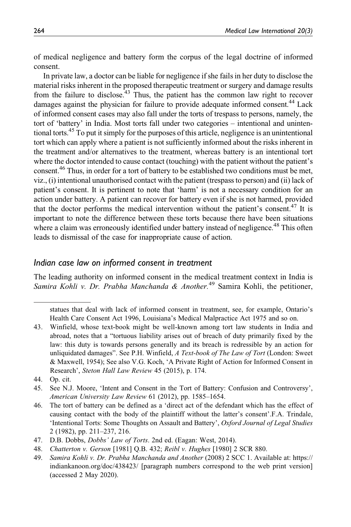of medical negligence and battery form the corpus of the legal doctrine of informed consent.

In private law, a doctor can be liable for negligence if she fails in her duty to disclose the material risks inherent in the proposed therapeutic treatment or surgery and damage results from the failure to disclose.<sup>43</sup> Thus, the patient has the common law right to recover damages against the physician for failure to provide adequate informed consent.<sup>44</sup> Lack of informed consent cases may also fall under the torts of trespass to persons, namely, the tort of 'battery' in India. Most torts fall under two categories – intentional and unintentional torts.<sup>45</sup> To put it simply for the purposes of this article, negligence is an unintentional tort which can apply where a patient is not sufficiently informed about the risks inherent in the treatment and/or alternatives to the treatment, whereas battery is an intentional tort where the doctor intended to cause contact (touching) with the patient without the patient's consent.<sup>46</sup> Thus, in order for a tort of battery to be established two conditions must be met, viz., (i) intentional unauthorised contact with the patient (trespass to person) and (ii) lack of patient's consent. It is pertinent to note that 'harm' is not a necessary condition for an action under battery. A patient can recover for battery even if she is not harmed, provided that the doctor performs the medical intervention without the patient's consent.<sup>47</sup> It is important to note the difference between these torts because there have been situations where a claim was erroneously identified under battery instead of negligence.<sup>48</sup> This often leads to dismissal of the case for inappropriate cause of action.

### *Indian case law on informed consent in treatment*

The leading authority on informed consent in the medical treatment context in India is *Samira Kohli v. Dr. Prabha Manchanda & Another.*<sup>49</sup> Samira Kohli, the petitioner,

43. Winfield, whose text-book might be well-known among tort law students in India and abroad, notes that a "tortuous liability arises out of breach of duty primarily fixed by the law: this duty is towards persons generally and its breach is redressible by an action for unliquidated damages". See P.H. Winfield, *A Text-book of The Law of Tort* (London: Sweet & Maxwell, 1954); See also V.G. Koch, 'A Private Right of Action for Informed Consent in Research', *Steton Hall Law Review* 45 (2015), p. 174.

46. The tort of battery can be defined as a 'direct act of the defendant which has the effect of causing contact with the body of the plaintiff without the latter's consent'.F.A. Trindale, 'Intentional Torts: Some Thoughts on Assault and Battery', *Oxford Journal of Legal Studies* 2 (1982), pp. 211–237, 216.

statues that deal with lack of informed consent in treatment, see, for example, Ontario's Health Care Consent Act 1996, Louisiana's Medical Malpractice Act 1975 and so on.

<sup>44.</sup> Op. cit.

<sup>45.</sup> See N.J. Moore, 'Intent and Consent in the Tort of Battery: Confusion and Controversy', *American University Law Review* 61 (2012), pp. 1585–1654.

<sup>47.</sup> D.B. Dobbs, *Dobbs' Law of Torts*. 2nd ed. (Eagan: West, 2014).

<sup>48.</sup> *Chatterton v. Gerson* [1981] Q.B. 432; *Reibl v. Hughes* [1980] 2 SCR 880.

<sup>49.</sup> *Samira Kohli v. Dr. Prabha Manchanda and Another* (2008) 2 SCC 1. Available at: https:// indiankanoon.org/doc/438423/ [paragraph numbers correspond to the web print version] (accessed 2 May 2020).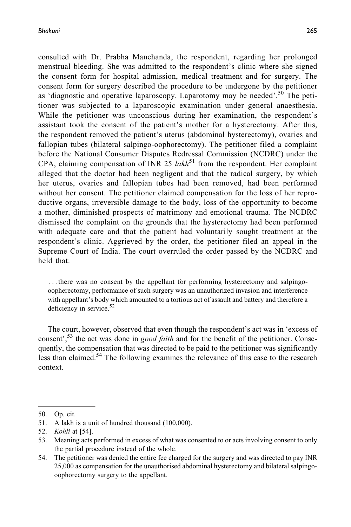consulted with Dr. Prabha Manchanda, the respondent, regarding her prolonged menstrual bleeding. She was admitted to the respondent's clinic where she signed the consent form for hospital admission, medical treatment and for surgery. The consent form for surgery described the procedure to be undergone by the petitioner as 'diagnostic and operative laparoscopy. Laparotomy may be needed'.<sup>50</sup> The petitioner was subjected to a laparoscopic examination under general anaesthesia. While the petitioner was unconscious during her examination, the respondent's assistant took the consent of the patient's mother for a hysterectomy. After this, the respondent removed the patient's uterus (abdominal hysterectomy), ovaries and fallopian tubes (bilateral salpingo-oophorectomy). The petitioner filed a complaint before the National Consumer Disputes Redressal Commission (NCDRC) under the CPA, claiming compensation of INR 25  $lakh<sup>51</sup>$  from the respondent. Her complaint alleged that the doctor had been negligent and that the radical surgery, by which her uterus, ovaries and fallopian tubes had been removed, had been performed without her consent. The petitioner claimed compensation for the loss of her reproductive organs, irreversible damage to the body, loss of the opportunity to become a mother, diminished prospects of matrimony and emotional trauma. The NCDRC dismissed the complaint on the grounds that the hysterectomy had been performed with adequate care and that the patient had voluntarily sought treatment at the respondent's clinic. Aggrieved by the order, the petitioner filed an appeal in the Supreme Court of India. The court overruled the order passed by the NCDRC and held that:

... there was no consent by the appellant for performing hysterectomy and salpingooopherectomy, performance of such surgery was an unauthorized invasion and interference with appellant's body which amounted to a tortious act of assault and battery and therefore a deficiency in service.<sup>52</sup>

The court, however, observed that even though the respondent's act was in 'excess of consent',<sup>53</sup> the act was done in *good faith* and for the benefit of the petitioner. Consequently, the compensation that was directed to be paid to the petitioner was significantly less than claimed.<sup>54</sup> The following examines the relevance of this case to the research context.

<sup>50.</sup> Op. cit.

<sup>51.</sup> A lakh is a unit of hundred thousand (100,000).

<sup>52.</sup> *Kohli* at [54].

<sup>53.</sup> Meaning acts performed in excess of what was consented to or acts involving consent to only the partial procedure instead of the whole.

<sup>54.</sup> The petitioner was denied the entire fee charged for the surgery and was directed to pay INR 25,000 as compensation for the unauthorised abdominal hysterectomy and bilateral salpingooophorectomy surgery to the appellant.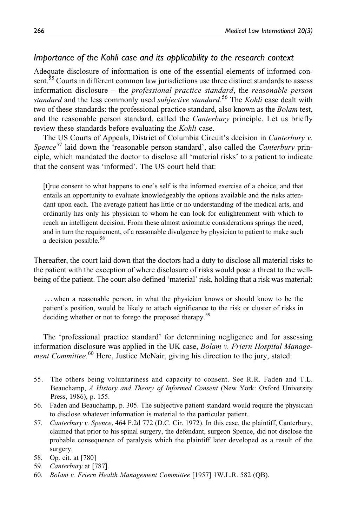### *Importance of the Kohli case and its applicability to the research context*

Adequate disclosure of information is one of the essential elements of informed consent.<sup>55</sup> Courts in different common law jurisdictions use three distinct standards to assess information disclosure – the *professional practice standard*, the *reasonable person standard* and the less commonly used *subjective standard*. <sup>56</sup> The *Kohli* case dealt with two of these standards: the professional practice standard, also known as the *Bolam* test, and the reasonable person standard, called the *Canterbury* principle. Let us briefly review these standards before evaluating the *Kohli* case.

The US Courts of Appeals, District of Columbia Circuit's decision in *Canterbury v. Spence*<sup>57</sup> laid down the 'reasonable person standard', also called the *Canterbury* principle, which mandated the doctor to disclose all 'material risks' to a patient to indicate that the consent was 'informed'. The US court held that:

[t]rue consent to what happens to one's self is the informed exercise of a choice, and that entails an opportunity to evaluate knowledgeably the options available and the risks attendant upon each. The average patient has little or no understanding of the medical arts, and ordinarily has only his physician to whom he can look for enlightenment with which to reach an intelligent decision. From these almost axiomatic considerations springs the need, and in turn the requirement, of a reasonable divulgence by physician to patient to make such a decision possible.<sup>58</sup>

Thereafter, the court laid down that the doctors had a duty to disclose all material risks to the patient with the exception of where disclosure of risks would pose a threat to the wellbeing of the patient. The court also defined 'material' risk, holding that a risk was material:

... when a reasonable person, in what the physician knows or should know to be the patient's position, would be likely to attach significance to the risk or cluster of risks in deciding whether or not to forego the proposed therapy.<sup>59</sup>

The 'professional practice standard' for determining negligence and for assessing information disclosure was applied in the UK case, *Bolam v. Friern Hospital Management Committee.*<sup>60</sup> Here, Justice McNair, giving his direction to the jury, stated:

<sup>55.</sup> The others being voluntariness and capacity to consent. See R.R. Faden and T.L. Beauchamp, *A History and Theory of Informed Consent* (New York: Oxford University Press, 1986), p. 155.

<sup>56.</sup> Faden and Beauchamp, p. 305. The subjective patient standard would require the physician to disclose whatever information is material to the particular patient.

<sup>57.</sup> *Canterbury v. Spence*, 464 F.2d 772 (D.C. Cir. 1972). In this case, the plaintiff, Canterbury, claimed that prior to his spinal surgery, the defendant, surgeon Spence, did not disclose the probable consequence of paralysis which the plaintiff later developed as a result of the surgery.

<sup>58.</sup> Op. cit. at [780]

<sup>59.</sup> *Canterbury* at [787].

<sup>60.</sup> *Bolam v. Friern Health Management Committee* [1957] 1W.L.R. 582 (QB).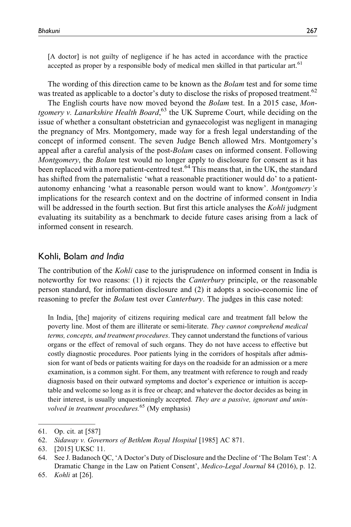[A doctor] is not guilty of negligence if he has acted in accordance with the practice accepted as proper by a responsible body of medical men skilled in that particular art.<sup>61</sup>

The wording of this direction came to be known as the *Bolam* test and for some time was treated as applicable to a doctor's duty to disclose the risks of proposed treatment.<sup>62</sup>

The English courts have now moved beyond the *Bolam* test. In a 2015 case, *Montgomery v. Lanarkshire Health Board*, <sup>63</sup> the UK Supreme Court, while deciding on the issue of whether a consultant obstetrician and gynaecologist was negligent in managing the pregnancy of Mrs. Montgomery, made way for a fresh legal understanding of the concept of informed consent. The seven Judge Bench allowed Mrs. Montgomery's appeal after a careful analysis of the post-*Bolam* cases on informed consent. Following *Montgomery*, the *Bolam* test would no longer apply to disclosure for consent as it has been replaced with a more patient-centred test.<sup>64</sup> This means that, in the UK, the standard has shifted from the paternalistic 'what a reasonable practitioner would do' to a patientautonomy enhancing 'what a reasonable person would want to know'. *Montgomery's* implications for the research context and on the doctrine of informed consent in India will be addressed in the fourth section. But first this article analyses the *Kohli* judgment evaluating its suitability as a benchmark to decide future cases arising from a lack of informed consent in research.

## Kohli, Bolam *and India*

The contribution of the *Kohli* case to the jurisprudence on informed consent in India is noteworthy for two reasons: (1) it rejects the *Canterbury* principle, or the reasonable person standard, for information disclosure and (2) it adopts a socio-economic line of reasoning to prefer the *Bolam* test over *Canterbury*. The judges in this case noted:

In India, [the] majority of citizens requiring medical care and treatment fall below the poverty line. Most of them are illiterate or semi-literate. *They cannot comprehend medical terms, concepts, and treatment procedures*. They cannot understand the functions of various organs or the effect of removal of such organs. They do not have access to effective but costly diagnostic procedures. Poor patients lying in the corridors of hospitals after admission for want of beds or patients waiting for days on the roadside for an admission or a mere examination, is a common sight. For them, any treatment with reference to rough and ready diagnosis based on their outward symptoms and doctor's experience or intuition is acceptable and welcome so long as it is free or cheap; and whatever the doctor decides as being in their interest, is usually unquestioningly accepted. *They are a passive, ignorant and uninvolved in treatment procedures.*<sup>65</sup> (My emphasis)

<sup>61.</sup> Op. cit. at [587]

<sup>62.</sup> *Sidaway v. Governors of Bethlem Royal Hospital* [1985] AC 871.

<sup>63. [2015]</sup> UKSC 11.

<sup>64.</sup> See J. Badanoch QC, 'A Doctor's Duty of Disclosure and the Decline of 'The Bolam Test': A Dramatic Change in the Law on Patient Consent', *Medico-Legal Journal* 84 (2016), p. 12.

<sup>65.</sup> *Kohli* at [26].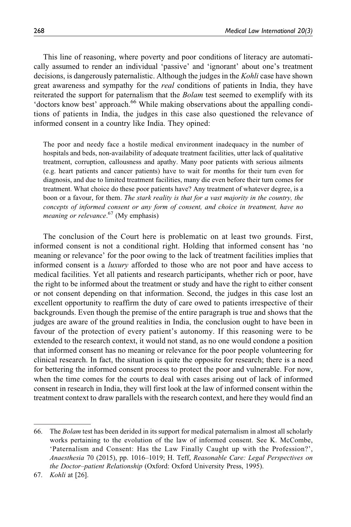This line of reasoning, where poverty and poor conditions of literacy are automatically assumed to render an individual 'passive' and 'ignorant' about one's treatment decisions, is dangerously paternalistic. Although the judges in the *Kohli* case have shown great awareness and sympathy for the *real* conditions of patients in India, they have reiterated the support for paternalism that the *Bolam* test seemed to exemplify with its 'doctors know best' approach.<sup>66</sup> While making observations about the appalling conditions of patients in India, the judges in this case also questioned the relevance of informed consent in a country like India. They opined:

The poor and needy face a hostile medical environment inadequacy in the number of hospitals and beds, non-availability of adequate treatment facilities, utter lack of qualitative treatment, corruption, callousness and apathy. Many poor patients with serious ailments (e.g. heart patients and cancer patients) have to wait for months for their turn even for diagnosis, and due to limited treatment facilities, many die even before their turn comes for treatment. What choice do these poor patients have? Any treatment of whatever degree, is a boon or a favour, for them. *The stark reality is that for a vast majority in the country, the concepts of informed consent or any form of consent, and choice in treatment, have no meaning or relevance*. <sup>67</sup> (My emphasis)

The conclusion of the Court here is problematic on at least two grounds. First, informed consent is not a conditional right. Holding that informed consent has 'no meaning or relevance' for the poor owing to the lack of treatment facilities implies that informed consent is a *luxury* afforded to those who are not poor and have access to medical facilities. Yet all patients and research participants, whether rich or poor, have the right to be informed about the treatment or study and have the right to either consent or not consent depending on that information. Second, the judges in this case lost an excellent opportunity to reaffirm the duty of care owed to patients irrespective of their backgrounds. Even though the premise of the entire paragraph is true and shows that the judges are aware of the ground realities in India, the conclusion ought to have been in favour of the protection of every patient's autonomy. If this reasoning were to be extended to the research context, it would not stand, as no one would condone a position that informed consent has no meaning or relevance for the poor people volunteering for clinical research. In fact, the situation is quite the opposite for research; there is a need for bettering the informed consent process to protect the poor and vulnerable. For now, when the time comes for the courts to deal with cases arising out of lack of informed consent in research in India, they will first look at the law of informed consent within the treatment context to draw parallels with the research context, and here they would find an

<sup>66.</sup> The *Bolam* test has been derided in its support for medical paternalism in almost all scholarly works pertaining to the evolution of the law of informed consent. See K. McCombe, 'Paternalism and Consent: Has the Law Finally Caught up with the Profession?', *Anaesthesia* 70 (2015), pp. 1016–1019; H. Teff, *Reasonable Care: Legal Perspectives on the Doctor–patient Relationship* (Oxford: Oxford University Press, 1995).

<sup>67.</sup> *Kohli* at [26].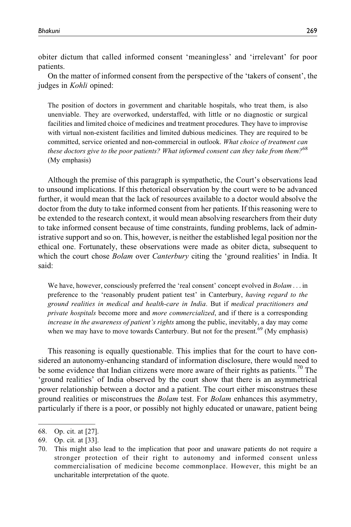obiter dictum that called informed consent 'meaningless' and 'irrelevant' for poor patients.

On the matter of informed consent from the perspective of the 'takers of consent', the judges in *Kohli* opined:

The position of doctors in government and charitable hospitals, who treat them, is also unenviable. They are overworked, understaffed, with little or no diagnostic or surgical facilities and limited choice of medicines and treatment procedures. They have to improvise with virtual non-existent facilities and limited dubious medicines. They are required to be committed, service oriented and non-commercial in outlook. *What choice of treatment can these doctors give to the poor patients? What informed consent can they take from them?*<sup>68</sup> (My emphasis)

Although the premise of this paragraph is sympathetic, the Court's observations lead to unsound implications. If this rhetorical observation by the court were to be advanced further, it would mean that the lack of resources available to a doctor would absolve the doctor from the duty to take informed consent from her patients. If this reasoning were to be extended to the research context, it would mean absolving researchers from their duty to take informed consent because of time constraints, funding problems, lack of administrative support and so on. This, however, is neither the established legal position nor the ethical one. Fortunately, these observations were made as obiter dicta, subsequent to which the court chose *Bolam* over *Canterbury* citing the 'ground realities' in India. It said:

We have, however, consciously preferred the 'real consent' concept evolved in *Bolam* ... in preference to the 'reasonably prudent patient test' in Canterbury, *having regard to the ground realities in medical and health-care in India*. But if *medical practitioners and private hospitals* become more and *more commercialized*, and if there is a corresponding *increase in the awareness of patient's rights* among the public, inevitably, a day may come when we may have to move towards Canterbury. But not for the present.<sup>69</sup> (My emphasis)

This reasoning is equally questionable. This implies that for the court to have considered an autonomy-enhancing standard of information disclosure, there would need to be some evidence that Indian citizens were more aware of their rights as patients.<sup>70</sup> The 'ground realities' of India observed by the court show that there is an asymmetrical power relationship between a doctor and a patient. The court either misconstrues these ground realities or misconstrues the *Bolam* test. For *Bolam* enhances this asymmetry, particularly if there is a poor, or possibly not highly educated or unaware, patient being

<sup>68.</sup> Op. cit. at [27].

<sup>69.</sup> Op. cit. at [33].

<sup>70.</sup> This might also lead to the implication that poor and unaware patients do not require a stronger protection of their right to autonomy and informed consent unless commercialisation of medicine become commonplace. However, this might be an uncharitable interpretation of the quote.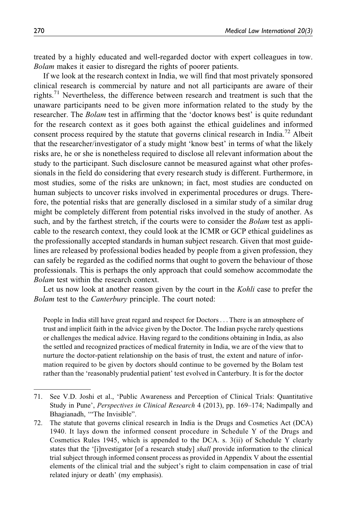treated by a highly educated and well-regarded doctor with expert colleagues in tow. *Bolam* makes it easier to disregard the rights of poorer patients.

If we look at the research context in India, we will find that most privately sponsored clinical research is commercial by nature and not all participants are aware of their rights.<sup>71</sup> Nevertheless, the difference between research and treatment is such that the unaware participants need to be given more information related to the study by the researcher. The *Bolam* test in affirming that the 'doctor knows best' is quite redundant for the research context as it goes both against the ethical guidelines and informed consent process required by the statute that governs clinical research in India.<sup>72</sup> Albeit that the researcher/investigator of a study might 'know best' in terms of what the likely risks are, he or she is nonetheless required to disclose all relevant information about the study to the participant. Such disclosure cannot be measured against what other professionals in the field do considering that every research study is different. Furthermore, in most studies, some of the risks are unknown; in fact, most studies are conducted on human subjects to uncover risks involved in experimental procedures or drugs. Therefore, the potential risks that are generally disclosed in a similar study of a similar drug might be completely different from potential risks involved in the study of another. As such, and by the farthest stretch, if the courts were to consider the *Bolam* test as applicable to the research context, they could look at the ICMR or GCP ethical guidelines as the professionally accepted standards in human subject research. Given that most guidelines are released by professional bodies headed by people from a given profession, they can safely be regarded as the codified norms that ought to govern the behaviour of those professionals. This is perhaps the only approach that could somehow accommodate the *Bolam* test within the research context.

Let us now look at another reason given by the court in the *Kohli* case to prefer the *Bolam* test to the *Canterbury* principle. The court noted:

People in India still have great regard and respect for Doctors... There is an atmosphere of trust and implicit faith in the advice given by the Doctor. The Indian psyche rarely questions or challenges the medical advice. Having regard to the conditions obtaining in India, as also the settled and recognized practices of medical fraternity in India, we are of the view that to nurture the doctor-patient relationship on the basis of trust, the extent and nature of information required to be given by doctors should continue to be governed by the Bolam test rather than the 'reasonably prudential patient' test evolved in Canterbury. It is for the doctor

<sup>71.</sup> See V.D. Joshi et al., 'Public Awareness and Perception of Clinical Trials: Quantitative Study in Pune', *Perspectives in Clinical Research* 4 (2013), pp. 169–174; Nadimpally and Bhagianadh, '"The Invisible".

<sup>72.</sup> The statute that governs clinical research in India is the Drugs and Cosmetics Act (DCA) 1940. It lays down the informed consent procedure in Schedule Y of the Drugs and Cosmetics Rules 1945, which is appended to the DCA. s. 3(ii) of Schedule Y clearly states that the '[i]nvestigator [of a research study] *shall* provide information to the clinical trial subject through informed consent process as provided in Appendix V about the essential elements of the clinical trial and the subject's right to claim compensation in case of trial related injury or death' (my emphasis).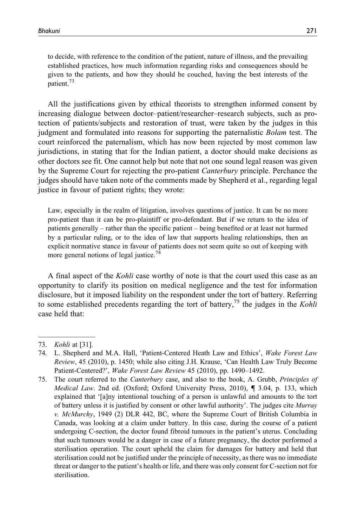to decide, with reference to the condition of the patient, nature of illness, and the prevailing established practices, how much information regarding risks and consequences should be given to the patients, and how they should be couched, having the best interests of the patient.<sup>73</sup>

All the justifications given by ethical theorists to strengthen informed consent by increasing dialogue between doctor–patient/researcher–research subjects, such as protection of patients/subjects and restoration of trust, were taken by the judges in this judgment and formulated into reasons for supporting the paternalistic *Bolam* test. The court reinforced the paternalism, which has now been rejected by most common law jurisdictions, in stating that for the Indian patient, a doctor should make decisions as other doctors see fit. One cannot help but note that not one sound legal reason was given by the Supreme Court for rejecting the pro-patient *Canterbury* principle. Perchance the judges should have taken note of the comments made by Shepherd et al., regarding legal justice in favour of patient rights; they wrote:

Law, especially in the realm of litigation, involves questions of justice. It can be no more pro-patient than it can be pro-plaintiff or pro-defendant. But if we return to the idea of patients generally – rather than the specific patient – being benefited or at least not harmed by a particular ruling, or to the idea of law that supports healing relationships, then an explicit normative stance in favour of patients does not seem quite so out of keeping with more general notions of legal justice.<sup>74</sup>

A final aspect of the *Kohli* case worthy of note is that the court used this case as an opportunity to clarify its position on medical negligence and the test for information disclosure, but it imposed liability on the respondent under the tort of battery. Referring to some established precedents regarding the tort of battery,<sup>75</sup> the judges in the *Kohli* case held that:

<sup>73.</sup> *Kohli* at [31].

<sup>74.</sup> L. Shepherd and M.A. Hall, 'Patient-Centered Heath Law and Ethics', *Wake Forest Law Review*, 45 (2010), p. 1450; while also citing J.H. Krause, 'Can Health Law Truly Become Patient-Centered?', *Wake Forest Law Review* 45 (2010), pp. 1490–1492.

<sup>75.</sup> The court referred to the *Canterbury* case, and also to the book, A. Grubb, *Principles of Medical Law.* 2nd ed. (Oxford; Oxford University Press, 2010),  $\P$  3.04, p. 133, which explained that '[a]ny intentional touching of a person is unlawful and amounts to the tort of battery unless it is justified by consent or other lawful authority'. The judges cite *Murray v. McMurchy*, 1949 (2) DLR 442, BC, where the Supreme Court of British Columbia in Canada, was looking at a claim under battery. In this case, during the course of a patient undergoing C-section, the doctor found fibroid tumours in the patient's uterus. Concluding that such tumours would be a danger in case of a future pregnancy, the doctor performed a sterilisation operation. The court upheld the claim for damages for battery and held that sterilisation could not be justified under the principle of necessity, as there was no immediate threat or danger to the patient's health or life, and there was only consent for C-section not for sterilisation.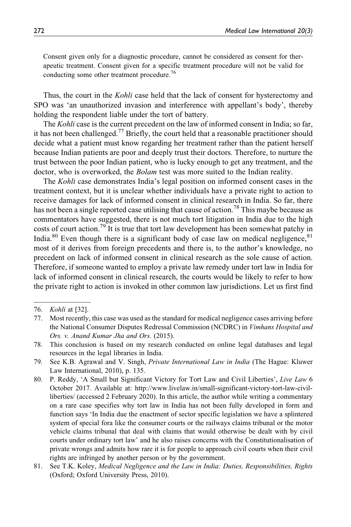Consent given only for a diagnostic procedure, cannot be considered as consent for therapeutic treatment. Consent given for a specific treatment procedure will not be valid for conducting some other treatment procedure.<sup>76</sup>

Thus, the court in the *Kohli* case held that the lack of consent for hysterectomy and SPO was 'an unauthorized invasion and interference with appellant's body', thereby holding the respondent liable under the tort of battery.

The *Kohli* case is the current precedent on the law of informed consent in India; so far, it has not been challenged.<sup>77</sup> Briefly, the court held that a reasonable practitioner should decide what a patient must know regarding her treatment rather than the patient herself because Indian patients are poor and deeply trust their doctors. Therefore, to nurture the trust between the poor Indian patient, who is lucky enough to get any treatment, and the doctor, who is overworked, the *Bolam* test was more suited to the Indian reality.

The *Kohli* case demonstrates India's legal position on informed consent cases in the treatment context, but it is unclear whether individuals have a private right to action to receive damages for lack of informed consent in clinical research in India. So far, there has not been a single reported case utilising that cause of action.<sup>78</sup> This maybe because as commentators have suggested, there is not much tort litigation in India due to the high costs of court action.<sup>79</sup> It is true that tort law development has been somewhat patchy in India. $80$  Even though there is a significant body of case law on medical negligence,  $81$ most of it derives from foreign precedents and there is, to the author's knowledge, no precedent on lack of informed consent in clinical research as the sole cause of action. Therefore, if someone wanted to employ a private law remedy under tort law in India for lack of informed consent in clinical research, the courts would be likely to refer to how the private right to action is invoked in other common law jurisdictions. Let us first find

<sup>76.</sup> *Kohli* at [32].

<sup>77.</sup> Most recently, this case was used as the standard for medical negligence cases arriving before the National Consumer Disputes Redressal Commission (NCDRC) in *Vimhans Hospital and Ors. v. Anand Kumar Jha and Ors*. (2015).

<sup>78.</sup> This conclusion is based on my research conducted on online legal databases and legal resources in the legal libraries in India.

<sup>79.</sup> See K.B. Agrawal and V. Singh, *Private International Law in India* (The Hague: Kluwer Law International, 2010), p. 135.

<sup>80.</sup> P. Reddy, 'A Small but Significant Victory for Tort Law and Civil Liberties', *Live Law* 6 October 2017. Available at: http://www.livelaw.in/small-significant-victory-tort-law-civilliberties/ (accessed 2 February 2020). In this article, the author while writing a commentary on a rare case specifies why tort law in India has not been fully developed in form and function says 'In India due the enactment of sector specific legislation we have a splintered system of special fora like the consumer courts or the railways claims tribunal or the motor vehicle claims tribunal that deal with claims that would otherwise be dealt with by civil courts under ordinary tort law' and he also raises concerns with the Constitutionalisation of private wrongs and admits how rare it is for people to approach civil courts when their civil rights are infringed by another person or by the government.

<sup>81.</sup> See T.K. Koley, *Medical Negligence and the Law in India: Duties, Responsibilities, Rights* (Oxford; Oxford University Press, 2010).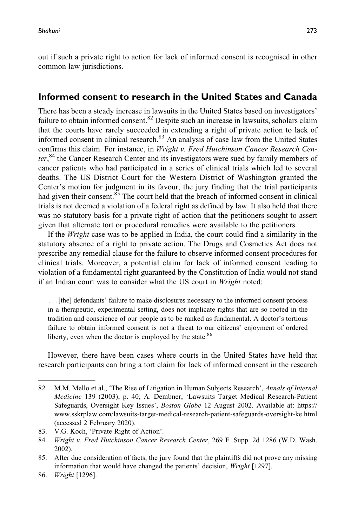out if such a private right to action for lack of informed consent is recognised in other common law jurisdictions.

## **Informed consent to research in the United States and Canada**

There has been a steady increase in lawsuits in the United States based on investigators' failure to obtain informed consent.<sup>82</sup> Despite such an increase in lawsuits, scholars claim that the courts have rarely succeeded in extending a right of private action to lack of informed consent in clinical research. $83$  An analysis of case law from the United States confirms this claim. For instance, in *Wright v. Fred Hutchinson Cancer Research Center*, <sup>84</sup> the Cancer Research Center and its investigators were sued by family members of cancer patients who had participated in a series of clinical trials which led to several deaths. The US District Court for the Western District of Washington granted the Center's motion for judgment in its favour, the jury finding that the trial participants had given their consent.<sup>85</sup> The court held that the breach of informed consent in clinical trials is not deemed a violation of a federal right as defined by law. It also held that there was no statutory basis for a private right of action that the petitioners sought to assert given that alternate tort or procedural remedies were available to the petitioners.

If the *Wright* case was to be applied in India, the court could find a similarity in the statutory absence of a right to private action. The Drugs and Cosmetics Act does not prescribe any remedial clause for the failure to observe informed consent procedures for clinical trials. Moreover, a potential claim for lack of informed consent leading to violation of a fundamental right guaranteed by the Constitution of India would not stand if an Indian court was to consider what the US court in *Wright* noted:

...[the] defendants' failure to make disclosures necessary to the informed consent process in a therapeutic, experimental setting, does not implicate rights that are so rooted in the tradition and conscience of our people as to be ranked as fundamental. A doctor's tortious failure to obtain informed consent is not a threat to our citizens' enjoyment of ordered liberty, even when the doctor is employed by the state.<sup>86</sup>

However, there have been cases where courts in the United States have held that research participants can bring a tort claim for lack of informed consent in the research

<sup>82.</sup> M.M. Mello et al., 'The Rise of Litigation in Human Subjects Research', *Annals of Internal Medicine* 139 (2003), p. 40; A. Dembner, 'Lawsuits Target Medical Research-Patient Safeguards, Oversight Key Issues', *Boston Globe* 12 August 2002. Available at: https:// www.sskrplaw.com/lawsuits-target-medical-research-patient-safeguards-oversight-ke.html (accessed 2 February 2020).

<sup>83.</sup> V.G. Koch, 'Private Right of Action'.

<sup>84.</sup> *Wright v. Fred Hutchinson Cancer Research Center*, 269 F. Supp. 2d 1286 (W.D. Wash. 2002).

<sup>85.</sup> After due consideration of facts, the jury found that the plaintiffs did not prove any missing information that would have changed the patients' decision, *Wright* [1297].

<sup>86.</sup> *Wright* [1296].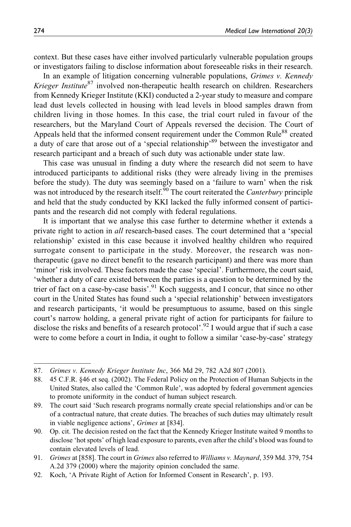context. But these cases have either involved particularly vulnerable population groups or investigators failing to disclose information about foreseeable risks in their research.

In an example of litigation concerning vulnerable populations, *Grimes v. Kennedy Krieger Institute*<sup>87</sup> involved non-therapeutic health research on children. Researchers from Kennedy Krieger Institute (KKI) conducted a 2-year study to measure and compare lead dust levels collected in housing with lead levels in blood samples drawn from children living in those homes. In this case, the trial court ruled in favour of the researchers, but the Maryland Court of Appeals reversed the decision. The Court of Appeals held that the informed consent requirement under the Common Rule<sup>88</sup> created a duty of care that arose out of a 'special relationship'<sup>89</sup> between the investigator and research participant and a breach of such duty was actionable under state law.

This case was unusual in finding a duty where the research did not seem to have introduced participants to additional risks (they were already living in the premises before the study). The duty was seemingly based on a 'failure to warn' when the risk was not introduced by the research itself.<sup>90</sup> The court reiterated the *Canterbury* principle and held that the study conducted by KKI lacked the fully informed consent of participants and the research did not comply with federal regulations.

It is important that we analyse this case further to determine whether it extends a private right to action in *all* research-based cases. The court determined that a 'special relationship' existed in this case because it involved healthy children who required surrogate consent to participate in the study. Moreover, the research was nontherapeutic (gave no direct benefit to the research participant) and there was more than 'minor' risk involved. These factors made the case 'special'. Furthermore, the court said, 'whether a duty of care existed between the parties is a question to be determined by the trier of fact on a case-by-case basis'.<sup>91</sup> Koch suggests, and I concur, that since no other court in the United States has found such a 'special relationship' between investigators and research participants, 'it would be presumptuous to assume, based on this single court's narrow holding, a general private right of action for participants for failure to disclose the risks and benefits of a research protocol'.<sup>92</sup> I would argue that if such a case were to come before a court in India, it ought to follow a similar 'case-by-case' strategy

<sup>87.</sup> *Grimes v. Kennedy Krieger Institute Inc*, 366 Md 29, 782 A2d 807 (2001).

<sup>88. 45</sup> C.F.R. §46 et seq. (2002). The Federal Policy on the Protection of Human Subjects in the United States, also called the 'Common Rule', was adopted by federal government agencies to promote uniformity in the conduct of human subject research.

<sup>89.</sup> The court said 'Such research programs normally create special relationships and/or can be of a contractual nature, that create duties. The breaches of such duties may ultimately result in viable negligence actions', *Grimes* at [834].

<sup>90.</sup> Op. cit. The decision rested on the fact that the Kennedy Krieger Institute waited 9 months to disclose 'hot spots' of high lead exposure to parents, even after the child's blood was found to contain elevated levels of lead.

<sup>91.</sup> *Grimes* at [858]. The court in *Grimes* also referred to *Williams v. Maynard*, 359 Md. 379, 754 A.2d 379 (2000) where the majority opinion concluded the same.

<sup>92.</sup> Koch, 'A Private Right of Action for Informed Consent in Research', p. 193.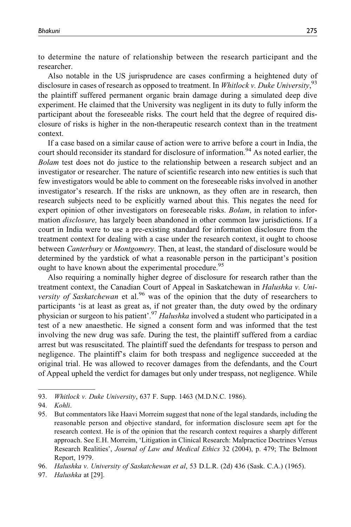to determine the nature of relationship between the research participant and the researcher.

Also notable in the US jurisprudence are cases confirming a heightened duty of disclosure in cases of research as opposed to treatment. In *Whitlock v. Duke University*, 93 the plaintiff suffered permanent organic brain damage during a simulated deep dive experiment. He claimed that the University was negligent in its duty to fully inform the participant about the foreseeable risks. The court held that the degree of required disclosure of risks is higher in the non-therapeutic research context than in the treatment context.

If a case based on a similar cause of action were to arrive before a court in India, the court should reconsider its standard for disclosure of information.<sup>94</sup> As noted earlier, the *Bolam* test does not do justice to the relationship between a research subject and an investigator or researcher. The nature of scientific research into new entities is such that few investigators would be able to comment on the foreseeable risks involved in another investigator's research. If the risks are unknown, as they often are in research, then research subjects need to be explicitly warned about this. This negates the need for expert opinion of other investigators on foreseeable risks. *Bolam*, in relation to information *disclosure,* has largely been abandoned in other common law jurisdictions. If a court in India were to use a pre-existing standard for information disclosure from the treatment context for dealing with a case under the research context, it ought to choose between *Canterbury* or *Montgomery.* Then, at least, the standard of disclosure would be determined by the yardstick of what a reasonable person in the participant's position ought to have known about the experimental procedure.<sup>95</sup>

Also requiring a nominally higher degree of disclosure for research rather than the treatment context, the Canadian Court of Appeal in Saskatchewan in *Halushka v. University of Saskatchewan* et al.<sup>96</sup> was of the opinion that the duty of researchers to participants 'is at least as great as, if not greater than, the duty owed by the ordinary physician or surgeon to his patient'.<sup>97</sup> *Halushka* involved a student who participated in a test of a new anaesthetic. He signed a consent form and was informed that the test involving the new drug was safe. During the test, the plaintiff suffered from a cardiac arrest but was resuscitated. The plaintiff sued the defendants for trespass to person and negligence. The plaintiff's claim for both trespass and negligence succeeded at the original trial. He was allowed to recover damages from the defendants, and the Court of Appeal upheld the verdict for damages but only under trespass, not negligence. While

<sup>93.</sup> *Whitlock v. Duke University*, 637 F. Supp. 1463 (M.D.N.C. 1986).

<sup>94.</sup> *Kohli*.

<sup>95.</sup> But commentators like Haavi Morreim suggest that none of the legal standards, including the reasonable person and objective standard, for information disclosure seem apt for the research context. He is of the opinion that the research context requires a sharply different approach. See E.H. Morreim, 'Litigation in Clinical Research: Malpractice Doctrines Versus Research Realities', *Journal of Law and Medical Ethics* 32 (2004), p. 479; The Belmont Report, 1979.

<sup>96.</sup> *Halushka v. University of Saskatchewan et al*, 53 D.L.R. (2d) 436 (Sask. C.A.) (1965).

<sup>97.</sup> *Halushka* at [29].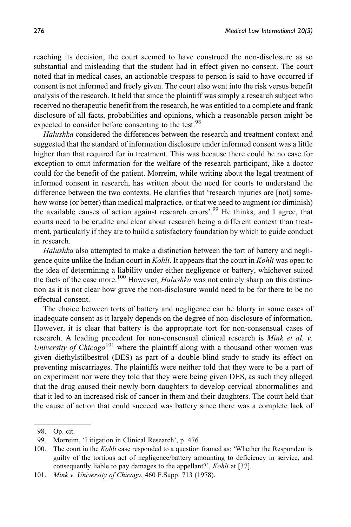reaching its decision, the court seemed to have construed the non-disclosure as so substantial and misleading that the student had in effect given no consent. The court noted that in medical cases, an actionable trespass to person is said to have occurred if consent is not informed and freely given. The court also went into the risk versus benefit analysis of the research. It held that since the plaintiff was simply a research subject who received no therapeutic benefit from the research, he was entitled to a complete and frank disclosure of all facts, probabilities and opinions, which a reasonable person might be expected to consider before consenting to the test.<sup>98</sup>

*Halushka* considered the differences between the research and treatment context and suggested that the standard of information disclosure under informed consent was a little higher than that required for in treatment. This was because there could be no case for exception to omit information for the welfare of the research participant, like a doctor could for the benefit of the patient. Morreim, while writing about the legal treatment of informed consent in research, has written about the need for courts to understand the difference between the two contexts. He clarifies that 'research injuries are [not] somehow worse (or better) than medical malpractice, or that we need to augment (or diminish) the available causes of action against research errors'.<sup>99</sup> He thinks, and I agree, that courts need to be erudite and clear about research being a different context than treatment, particularly if they are to build a satisfactory foundation by which to guide conduct in research.

*Halushka* also attempted to make a distinction between the tort of battery and negligence quite unlike the Indian court in *Kohli*. It appears that the court in *Kohli* was open to the idea of determining a liability under either negligence or battery, whichever suited the facts of the case more.<sup>100</sup> However, *Halushka* was not entirely sharp on this distinction as it is not clear how grave the non-disclosure would need to be for there to be no effectual consent.

The choice between torts of battery and negligence can be blurry in some cases of inadequate consent as it largely depends on the degree of non-disclosure of information. However, it is clear that battery is the appropriate tort for non-consensual cases of research. A leading precedent for non-consensual clinical research is *Mink et al. v. University of Chicago*<sup>101</sup> where the plaintiff along with a thousand other women was given diethylstilbestrol (DES) as part of a double-blind study to study its effect on preventing miscarriages. The plaintiffs were neither told that they were to be a part of an experiment nor were they told that they were being given DES, as such they alleged that the drug caused their newly born daughters to develop cervical abnormalities and that it led to an increased risk of cancer in them and their daughters. The court held that the cause of action that could succeed was battery since there was a complete lack of

<sup>98.</sup> Op. cit.

<sup>99.</sup> Morreim, 'Litigation in Clinical Research', p. 476.

<sup>100.</sup> The court in the *Kohli* case responded to a question framed as: 'Whether the Respondent is guilty of the tortious act of negligence/battery amounting to deficiency in service, and consequently liable to pay damages to the appellant?', *Kohli* at [37].

<sup>101.</sup> *Mink v. University of Chicago*, 460 F.Supp. 713 (1978).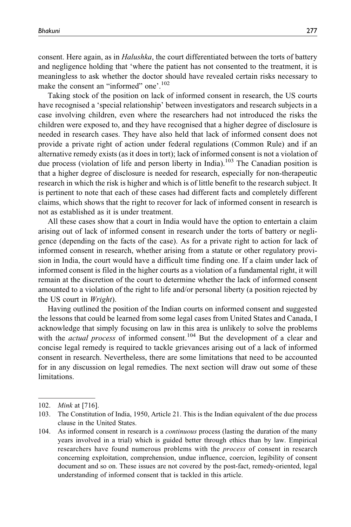consent. Here again, as in *Halushka*, the court differentiated between the torts of battery and negligence holding that 'where the patient has not consented to the treatment, it is meaningless to ask whether the doctor should have revealed certain risks necessary to make the consent an "informed" one'.<sup>102</sup>

Taking stock of the position on lack of informed consent in research, the US courts have recognised a 'special relationship' between investigators and research subjects in a case involving children, even where the researchers had not introduced the risks the children were exposed to, and they have recognised that a higher degree of disclosure is needed in research cases. They have also held that lack of informed consent does not provide a private right of action under federal regulations (Common Rule) and if an alternative remedy exists (as it does in tort); lack of informed consent is not a violation of due process (violation of life and person liberty in India).<sup>103</sup> The Canadian position is that a higher degree of disclosure is needed for research, especially for non-therapeutic research in which the risk is higher and which is of little benefit to the research subject. It is pertinent to note that each of these cases had different facts and completely different claims, which shows that the right to recover for lack of informed consent in research is not as established as it is under treatment.

All these cases show that a court in India would have the option to entertain a claim arising out of lack of informed consent in research under the torts of battery or negligence (depending on the facts of the case). As for a private right to action for lack of informed consent in research, whether arising from a statute or other regulatory provision in India, the court would have a difficult time finding one. If a claim under lack of informed consent is filed in the higher courts as a violation of a fundamental right, it will remain at the discretion of the court to determine whether the lack of informed consent amounted to a violation of the right to life and/or personal liberty (a position rejected by the US court in *Wright*).

Having outlined the position of the Indian courts on informed consent and suggested the lessons that could be learned from some legal cases from United States and Canada, I acknowledge that simply focusing on law in this area is unlikely to solve the problems with the *actual process* of informed consent.<sup>104</sup> But the development of a clear and concise legal remedy is required to tackle grievances arising out of a lack of informed consent in research. Nevertheless, there are some limitations that need to be accounted for in any discussion on legal remedies. The next section will draw out some of these limitations.

<sup>102.</sup> *Mink* at [716].

<sup>103.</sup> The Constitution of India, 1950, Article 21. This is the Indian equivalent of the due process clause in the United States.

<sup>104.</sup> As informed consent in research is a *continuous* process (lasting the duration of the many years involved in a trial) which is guided better through ethics than by law. Empirical researchers have found numerous problems with the *process* of consent in research concerning exploitation, comprehension, undue influence, coercion, legibility of consent document and so on. These issues are not covered by the post-fact, remedy-oriented, legal understanding of informed consent that is tackled in this article.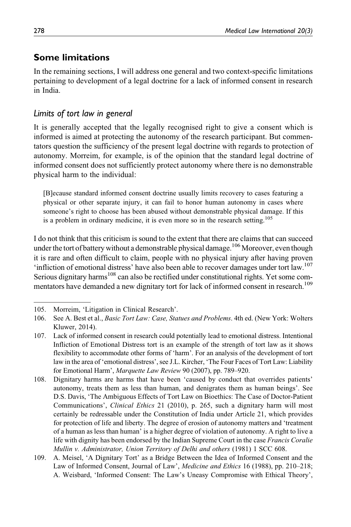# **Some limitations**

In the remaining sections, I will address one general and two context-specific limitations pertaining to development of a legal doctrine for a lack of informed consent in research in India.

## *Limits of tort law in general*

It is generally accepted that the legally recognised right to give a consent which is informed is aimed at protecting the autonomy of the research participant. But commentators question the sufficiency of the present legal doctrine with regards to protection of autonomy. Morreim, for example, is of the opinion that the standard legal doctrine of informed consent does not sufficiently protect autonomy where there is no demonstrable physical harm to the individual:

[B]ecause standard informed consent doctrine usually limits recovery to cases featuring a physical or other separate injury, it can fail to honor human autonomy in cases where someone's right to choose has been abused without demonstrable physical damage. If this is a problem in ordinary medicine, it is even more so in the research setting.<sup>105</sup>

I do not think that this criticism is sound to the extent that there are claims that can succeed under the tort of battery without a demonstrable physical damage.<sup>106</sup> Moreover, even though it is rare and often difficult to claim, people with no physical injury after having proven 'infliction of emotional distress' have also been able to recover damages under tort law.<sup>107</sup> Serious dignitary harms<sup>108</sup> can also be rectified under constitutional rights. Yet some commentators have demanded a new dignitary tort for lack of informed consent in research.<sup>109</sup>

109. A. Meisel, 'A Dignitary Tort' as a Bridge Between the Idea of Informed Consent and the Law of Informed Consent, Journal of Law', *Medicine and Ethics* 16 (1988), pp. 210–218; A. Weisbard, 'Informed Consent: The Law's Uneasy Compromise with Ethical Theory',

<sup>105.</sup> Morreim, 'Litigation in Clinical Research'.

<sup>106.</sup> See A. Best et al., *Basic Tort Law: Case, Statues and Problems*. 4th ed. (New York: Wolters Kluwer, 2014).

<sup>107.</sup> Lack of informed consent in research could potentially lead to emotional distress. Intentional Infliction of Emotional Distress tort is an example of the strength of tort law as it shows flexibility to accommodate other forms of 'harm'. For an analysis of the development of tort law in the area of 'emotional distress', see J.L. Kircher, 'The Four Faces of Tort Law: Liability for Emotional Harm', *Marquette Law Review* 90 (2007), pp. 789–920.

<sup>108.</sup> Dignitary harms are harms that have been 'caused by conduct that overrides patients' autonomy, treats them as less than human, and denigrates them as human beings'. See D.S. Davis, 'The Ambiguous Effects of Tort Law on Bioethics: The Case of Doctor-Patient Communications', *Clinical Ethics* 21 (2010), p. 265, such a dignitary harm will most certainly be redressable under the Constitution of India under Article 21, which provides for protection of life and liberty. The degree of erosion of autonomy matters and 'treatment of a human as less than human' is a higher degree of violation of autonomy. A right to live a life with dignity has been endorsed by the Indian Supreme Court in the case *Francis Coralie Mullin v. Administrator, Union Territory of Delhi and others* (1981) 1 SCC 608.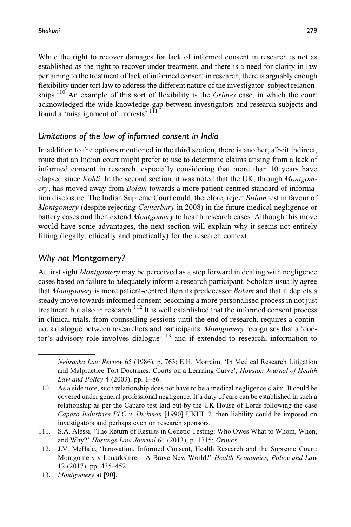While the right to recover damages for lack of informed consent in research is not as established as the right to recover under treatment, and there is a need for clarity in law pertaining to the treatment of lack of informed consent in research, there is arguably enough flexibility under tort law to address the different nature of the investigator–subject relationships.<sup>110</sup> An example of this sort of flexibility is the *Grimes* case, in which the court acknowledged the wide knowledge gap between investigators and research subjects and found a 'misalignment of interests'.<sup>111</sup>

## *Limitations of the law of informed consent in India*

In addition to the options mentioned in the third section, there is another, albeit indirect, route that an Indian court might prefer to use to determine claims arising from a lack of informed consent in research, especially considering that more than 10 years have elapsed since *Kohli*. In the second section, it was noted that the UK, through *Montgomery*, has moved away from *Bolam* towards a more patient-centred standard of information disclosure. The Indian Supreme Court could, therefore, reject *Bolam* test in favour of *Montgomery* (despite rejecting *Canterbury* in 2008) in the future medical negligence or battery cases and then extend *Montgomery* to health research cases. Although this move would have some advantages, the next section will explain why it seems not entirely fitting (legally, ethically and practically) for the research context.

# *Why not* Montgomery*?*

At first sight *Montgomery* may be perceived as a step forward in dealing with negligence cases based on failure to adequately inform a research participant. Scholars usually agree that *Montgomery* is more patient-centred than its predecessor *Bolam* and that it depicts a steady move towards informed consent becoming a more personalised process in not just treatment but also in research. $1^{12}$  It is well established that the informed consent process in clinical trials, from counselling sessions until the end of research, requires a continuous dialogue between researchers and participants. *Montgomery* recognises that a 'doctor's advisory role involves dialogue<sup>,113</sup> and if extended to research, information to

113. *Montgomery* at [90].

*Nebraska Law Review* 65 (1986), p. 763; E.H. Morreim, 'In Medical Research Litigation and Malpractice Tort Doctrines: Courts on a Learning Curve', *Houston Journal of Health Law and Policy* 4 (2003), pp. 1–86.

<sup>110.</sup> As a side note, such relationship does not have to be a medical negligence claim. It could be covered under general professional negligence. If a duty of care can be established in such a relationship as per the Caparo test laid out by the UK House of Lords following the case *Caparo Industries PLC v. Dickman* [1990] UKHL 2, then liability could be imposed on investigators and perhaps even on research sponsors.

<sup>111.</sup> S.A. Alessi, 'The Return of Results in Genetic Testing: Who Owes What to Whom, When, and Why?' *Hastings Law Journal* 64 (2013), p. 1715; *Grimes*.

<sup>112.</sup> J.V. McHale, 'Innovation, Informed Consent, Health Research and the Supreme Court: Montgomery v Lanarkshire – A Brave New World?' *Health Economics, Policy and Law* 12 (2017), pp. 435–452.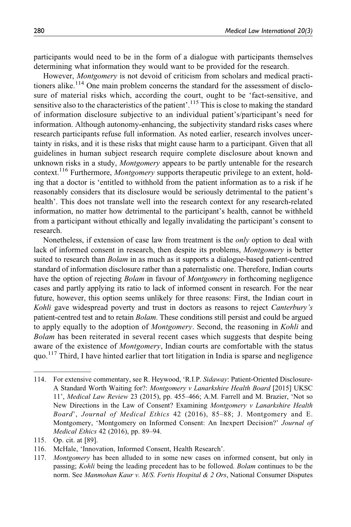participants would need to be in the form of a dialogue with participants themselves determining what information they would want to be provided for the research.

However, *Montgomery* is not devoid of criticism from scholars and medical practitioners alike.<sup>114</sup> One main problem concerns the standard for the assessment of disclosure of material risks which, according the court, ought to be 'fact-sensitive, and sensitive also to the characteristics of the patient'.<sup>115</sup> This is close to making the standard of information disclosure subjective to an individual patient's/participant's need for information. Although autonomy-enhancing, the subjectivity standard risks cases where research participants refuse full information. As noted earlier, research involves uncertainty in risks, and it is these risks that might cause harm to a participant. Given that all guidelines in human subject research require complete disclosure about known and unknown risks in a study, *Montgomery* appears to be partly untenable for the research context.<sup>116</sup> Furthermore, *Montgomery* supports therapeutic privilege to an extent, holding that a doctor is 'entitled to withhold from the patient information as to a risk if he reasonably considers that its disclosure would be seriously detrimental to the patient's health'. This does not translate well into the research context for any research-related information, no matter how detrimental to the participant's health, cannot be withheld from a participant without ethically and legally invalidating the participant's consent to research.

Nonetheless, if extension of case law from treatment is the *only* option to deal with lack of informed consent in research, then despite its problems, *Montgomery* is better suited to research than *Bolam* in as much as it supports a dialogue-based patient-centred standard of information disclosure rather than a paternalistic one. Therefore, Indian courts have the option of rejecting *Bolam* in favour of *Montgomery* in forthcoming negligence cases and partly applying its ratio to lack of informed consent in research. For the near future, however, this option seems unlikely for three reasons: First, the Indian court in *Kohli* gave widespread poverty and trust in doctors as reasons to reject *Canterbury's* patient-centred test and to retain *Bolam*. These conditions still persist and could be argued to apply equally to the adoption of *Montgomery*. Second, the reasoning in *Kohli* and *Bolam* has been reiterated in several recent cases which suggests that despite being aware of the existence of *Montgomery*, Indian courts are comfortable with the status quo.<sup>117</sup> Third, I have hinted earlier that tort litigation in India is sparse and negligence

<sup>114.</sup> For extensive commentary, see R. Heywood, 'R.I.P. *Sidaway*: Patient-Oriented Disclosure-A Standard Worth Waiting for?: *Montgomery v Lanarkshire Health Board* [2015] UKSC 11', *Medical Law Review* 23 (2015), pp. 455–466; A.M. Farrell and M. Brazier, 'Not so New Directions in the Law of Consent? Examining *Montgomery v Lanarkshire Health Board*', *Journal of Medical Ethics* 42 (2016), 85–88; J. Montgomery and E. Montgomery, 'Montgomery on Informed Consent: An Inexpert Decision?' *Journal of Medical Ethics* 42 (2016), pp. 89–94.

<sup>115.</sup> Op. cit. at [89].

<sup>116.</sup> McHale, 'Innovation, Informed Consent, Health Research'.

<sup>117.</sup> *Montgomery* has been alluded to in some new cases on informed consent, but only in passing; *Kohli* being the leading precedent has to be followed. *Bolam* continues to be the norm. See *Manmohan Kaur v. M/S. Fortis Hospital & 2 Ors*, National Consumer Disputes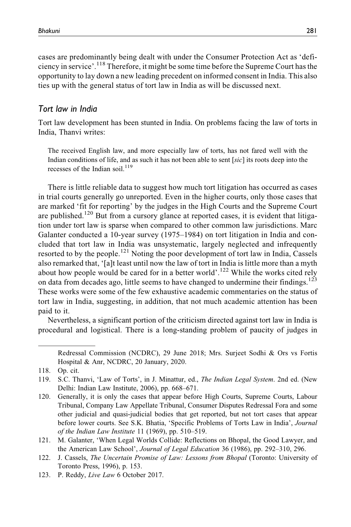cases are predominantly being dealt with under the Consumer Protection Act as 'deficiency in service'.<sup>118</sup> Therefore, it might be some time before the Supreme Court has the opportunity to lay down a new leading precedent on informed consent in India. This also ties up with the general status of tort law in India as will be discussed next.

### *Tort law in India*

Tort law development has been stunted in India. On problems facing the law of torts in India, Thanvi writes:

The received English law, and more especially law of torts, has not fared well with the Indian conditions of life, and as such it has not been able to sent [*sic*] its roots deep into the recesses of the Indian soil.<sup>119</sup>

There is little reliable data to suggest how much tort litigation has occurred as cases in trial courts generally go unreported. Even in the higher courts, only those cases that are marked 'fit for reporting' by the judges in the High Courts and the Supreme Court are published.<sup>120</sup> But from a cursory glance at reported cases, it is evident that litigation under tort law is sparse when compared to other common law jurisdictions. Marc Galanter conducted a 10-year survey (1975–1984) on tort litigation in India and concluded that tort law in India was unsystematic, largely neglected and infrequently resorted to by the people.<sup>121</sup> Noting the poor development of tort law in India, Cassels also remarked that, '[a]t least until now the law of tort in India is little more than a myth about how people would be cared for in a better world'.<sup>122</sup> While the works cited rely on data from decades ago, little seems to have changed to undermine their findings.<sup>123</sup> These works were some of the few exhaustive academic commentaries on the status of tort law in India, suggesting, in addition, that not much academic attention has been paid to it.

Nevertheless, a significant portion of the criticism directed against tort law in India is procedural and logistical. There is a long-standing problem of paucity of judges in

Redressal Commission (NCDRC), 29 June 2018; Mrs. Surjeet Sodhi & Ors vs Fortis Hospital & Anr, NCDRC, 20 January, 2020.

<sup>118.</sup> Op. cit.

<sup>119.</sup> S.C. Thanvi, 'Law of Torts', in J. Minattur, ed., *The Indian Legal System*. 2nd ed. (New Delhi: Indian Law Institute, 2006), pp. 668–671.

<sup>120.</sup> Generally, it is only the cases that appear before High Courts, Supreme Courts, Labour Tribunal, Company Law Appellate Tribunal, Consumer Disputes Redressal Fora and some other judicial and quasi-judicial bodies that get reported, but not tort cases that appear before lower courts. See S.K. Bhatia, 'Specific Problems of Torts Law in India', *Journal of the Indian Law Institute* 11 (1969), pp. 510–519.

<sup>121.</sup> M. Galanter, 'When Legal Worlds Collide: Reflections on Bhopal, the Good Lawyer, and the American Law School', *Journal of Legal Education* 36 (1986), pp. 292–310, 296.

<sup>122.</sup> J. Cassels, *The Uncertain Promise of Law: Lessons from Bhopal* (Toronto: University of Toronto Press, 1996), p. 153.

<sup>123.</sup> P. Reddy, *Live Law* 6 October 2017.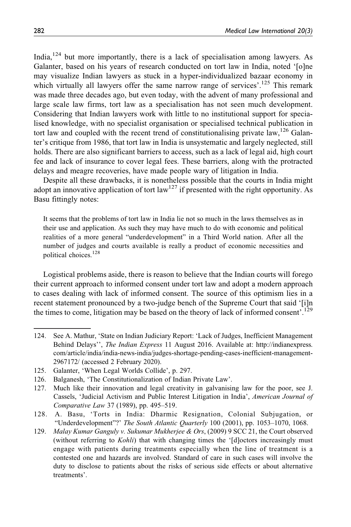India,  $124$  but more importantly, there is a lack of specialisation among lawyers. As Galanter, based on his years of research conducted on tort law in India, noted '[o]ne may visualize Indian lawyers as stuck in a hyper-individualized bazaar economy in which virtually all lawyers offer the same narrow range of services'.<sup>125</sup> This remark was made three decades ago, but even today, with the advent of many professional and large scale law firms, tort law as a specialisation has not seen much development. Considering that Indian lawyers work with little to no institutional support for specialised knowledge, with no specialist organisation or specialised technical publication in tort law and coupled with the recent trend of constitutionalising private law,  $126$  Galanter's critique from 1986, that tort law in India is unsystematic and largely neglected, still holds. There are also significant barriers to access, such as a lack of legal aid, high court fee and lack of insurance to cover legal fees. These barriers, along with the protracted delays and meagre recoveries, have made people wary of litigation in India.

Despite all these drawbacks, it is nonetheless possible that the courts in India might adopt an innovative application of tort law<sup>127</sup> if presented with the right opportunity. As Basu fittingly notes:

It seems that the problems of tort law in India lie not so much in the laws themselves as in their use and application. As such they may have much to do with economic and political realities of a more general "underdevelopment" in a Third World nation. After all the number of judges and courts available is really a product of economic necessities and political choices.<sup>128</sup>

Logistical problems aside, there is reason to believe that the Indian courts will forego their current approach to informed consent under tort law and adopt a modern approach to cases dealing with lack of informed consent. The source of this optimism lies in a recent statement pronounced by a two-judge bench of the Supreme Court that said '[i]n the times to come, litigation may be based on the theory of lack of informed consent'.<sup>129</sup>

<sup>124.</sup> See A. Mathur, 'State on Indian Judiciary Report: 'Lack of Judges, Inefficient Management Behind Delays'', *The Indian Express* 11 August 2016. Available at: http://indianexpress. com/article/india/india-news-india/judges-shortage-pending-cases-inefficient-management-2967172/ (accessed 2 February 2020).

<sup>125.</sup> Galanter, 'When Legal Worlds Collide', p. 297.

<sup>126.</sup> Balganesh, 'The Constitutionalization of Indian Private Law'.

<sup>127.</sup> Much like their innovation and legal creativity in galvanising law for the poor, see J. Cassels, 'Judicial Activism and Public Interest Litigation in India', *American Journal of Comparative Law* 37 (1989), pp. 495–519.

<sup>128.</sup> A. Basu, 'Torts in India: Dharmic Resignation, Colonial Subjugation, or "Underdevelopment"?' *The South Atlantic Quarterly* 100 (2001), pp. 1053–1070, 1068.

<sup>129.</sup> *Malay Kumar Ganguly v. Sukumar Mukherjee & Ors*, (2009) 9 SCC 21, the Court observed (without referring to *Kohli*) that with changing times the '[d]octors increasingly must engage with patients during treatments especially when the line of treatment is a contested one and hazards are involved. Standard of care in such cases will involve the duty to disclose to patients about the risks of serious side effects or about alternative treatments'.